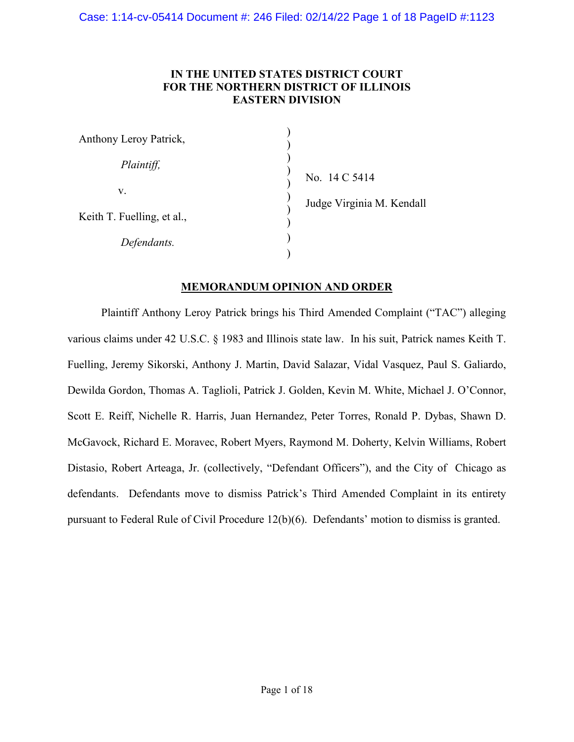# **IN THE UNITED STATES DISTRICT COURT FOR THE NORTHERN DISTRICT OF ILLINOIS EASTERN DIVISION**

| Anthony Leroy Patrick,     |     |
|----------------------------|-----|
| Plaintiff,                 | No  |
| V.                         | Juc |
| Keith T. Fuelling, et al., |     |
| Defendants.                |     |

 $. 14 C 5414$ dge Virginia M. Kendall

# **MEMORANDUM OPINION AND ORDER**

Plaintiff Anthony Leroy Patrick brings his Third Amended Complaint ("TAC") alleging various claims under 42 U.S.C. § 1983 and Illinois state law. In his suit, Patrick names Keith T. Fuelling, Jeremy Sikorski, Anthony J. Martin, David Salazar, Vidal Vasquez, Paul S. Galiardo, Dewilda Gordon, Thomas A. Taglioli, Patrick J. Golden, Kevin M. White, Michael J. O'Connor, Scott E. Reiff, Nichelle R. Harris, Juan Hernandez, Peter Torres, Ronald P. Dybas, Shawn D. McGavock, Richard E. Moravec, Robert Myers, Raymond M. Doherty, Kelvin Williams, Robert Distasio, Robert Arteaga, Jr. (collectively, "Defendant Officers"), and the City of Chicago as defendants. Defendants move to dismiss Patrick's Third Amended Complaint in its entirety pursuant to Federal Rule of Civil Procedure 12(b)(6). Defendants' motion to dismiss is granted.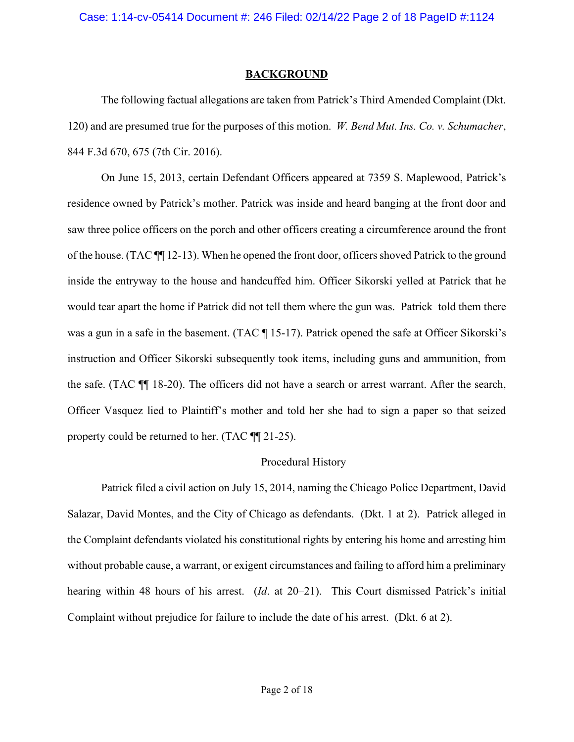### **BACKGROUND**

The following factual allegations are taken from Patrick's Third Amended Complaint (Dkt. 120) and are presumed true for the purposes of this motion. *W. Bend Mut. Ins. Co. v. Schumacher*, 844 F.3d 670, 675 (7th Cir. 2016).

On June 15, 2013, certain Defendant Officers appeared at 7359 S. Maplewood, Patrick's residence owned by Patrick's mother. Patrick was inside and heard banging at the front door and saw three police officers on the porch and other officers creating a circumference around the front of the house. (TAC ¶¶ 12-13). When he opened the front door, officers shoved Patrick to the ground inside the entryway to the house and handcuffed him. Officer Sikorski yelled at Patrick that he would tear apart the home if Patrick did not tell them where the gun was. Patrick told them there was a gun in a safe in the basement. (TAC  $\P$  15-17). Patrick opened the safe at Officer Sikorski's instruction and Officer Sikorski subsequently took items, including guns and ammunition, from the safe. (TAC ¶¶ 18-20). The officers did not have a search or arrest warrant. After the search, Officer Vasquez lied to Plaintiff's mother and told her she had to sign a paper so that seized property could be returned to her. (TAC ¶¶ 21-25).

### Procedural History

Patrick filed a civil action on July 15, 2014, naming the Chicago Police Department, David Salazar, David Montes, and the City of Chicago as defendants. (Dkt. 1 at 2). Patrick alleged in the Complaint defendants violated his constitutional rights by entering his home and arresting him without probable cause, a warrant, or exigent circumstances and failing to afford him a preliminary hearing within 48 hours of his arrest. (*Id*. at 20–21). This Court dismissed Patrick's initial Complaint without prejudice for failure to include the date of his arrest. (Dkt. 6 at 2).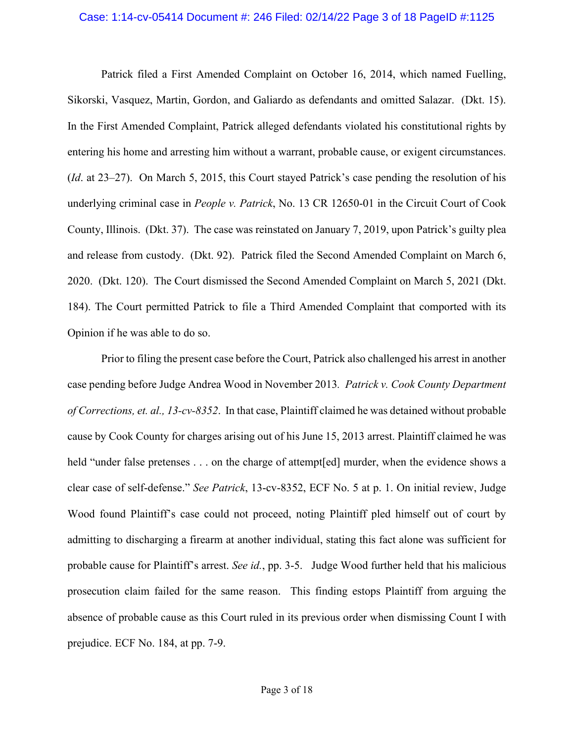#### Case: 1:14-cv-05414 Document #: 246 Filed: 02/14/22 Page 3 of 18 PageID #:1125

Patrick filed a First Amended Complaint on October 16, 2014, which named Fuelling, Sikorski, Vasquez, Martin, Gordon, and Galiardo as defendants and omitted Salazar. (Dkt. 15). In the First Amended Complaint, Patrick alleged defendants violated his constitutional rights by entering his home and arresting him without a warrant, probable cause, or exigent circumstances. (*Id*. at 23–27). On March 5, 2015, this Court stayed Patrick's case pending the resolution of his underlying criminal case in *People v. Patrick*, No. 13 CR 12650-01 in the Circuit Court of Cook County, Illinois. (Dkt. 37). The case was reinstated on January 7, 2019, upon Patrick's guilty plea and release from custody. (Dkt. 92). Patrick filed the Second Amended Complaint on March 6, 2020. (Dkt. 120). The Court dismissed the Second Amended Complaint on March 5, 2021 (Dkt. 184). The Court permitted Patrick to file a Third Amended Complaint that comported with its Opinion if he was able to do so.

Prior to filing the present case before the Court, Patrick also challenged his arrest in another case pending before Judge Andrea Wood in November 2013*. Patrick v. Cook County Department of Corrections, et. al., 13-cv-8352*. In that case, Plaintiff claimed he was detained without probable cause by Cook County for charges arising out of his June 15, 2013 arrest. Plaintiff claimed he was held "under false pretenses . . . on the charge of attempt[ed] murder, when the evidence shows a clear case of self-defense." *See Patrick*, 13-cv-8352, ECF No. 5 at p. 1. On initial review, Judge Wood found Plaintiff's case could not proceed, noting Plaintiff pled himself out of court by admitting to discharging a firearm at another individual, stating this fact alone was sufficient for probable cause for Plaintiff's arrest. *See id.*, pp. 3-5. Judge Wood further held that his malicious prosecution claim failed for the same reason. This finding estops Plaintiff from arguing the absence of probable cause as this Court ruled in its previous order when dismissing Count I with prejudice. ECF No. 184, at pp. 7-9.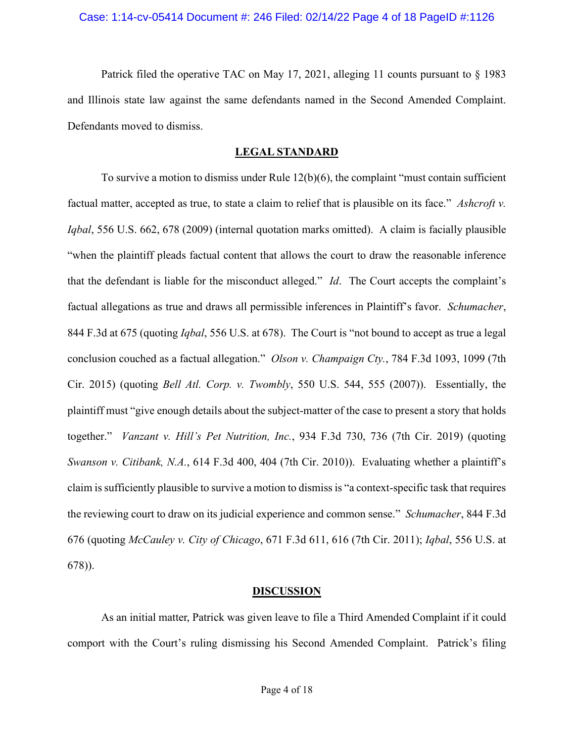Patrick filed the operative TAC on May 17, 2021, alleging 11 counts pursuant to § 1983 and Illinois state law against the same defendants named in the Second Amended Complaint. Defendants moved to dismiss.

# **LEGAL STANDARD**

To survive a motion to dismiss under Rule 12(b)(6), the complaint "must contain sufficient factual matter, accepted as true, to state a claim to relief that is plausible on its face." *Ashcroft v. Iqbal*, 556 U.S. 662, 678 (2009) (internal quotation marks omitted). A claim is facially plausible "when the plaintiff pleads factual content that allows the court to draw the reasonable inference that the defendant is liable for the misconduct alleged." *Id*. The Court accepts the complaint's factual allegations as true and draws all permissible inferences in Plaintiff's favor. *Schumacher*, 844 F.3d at 675 (quoting *Iqbal*, 556 U.S. at 678). The Court is "not bound to accept as true a legal conclusion couched as a factual allegation." *Olson v. Champaign Cty.*, 784 F.3d 1093, 1099 (7th Cir. 2015) (quoting *Bell Atl. Corp. v. Twombly*, 550 U.S. 544, 555 (2007)). Essentially, the plaintiff must "give enough details about the subject-matter of the case to present a story that holds together." *Vanzant v. Hill's Pet Nutrition, Inc.*, 934 F.3d 730, 736 (7th Cir. 2019) (quoting *Swanson v. Citibank, N.A.*, 614 F.3d 400, 404 (7th Cir. 2010)). Evaluating whether a plaintiff's claim is sufficiently plausible to survive a motion to dismiss is "a context-specific task that requires the reviewing court to draw on its judicial experience and common sense." *Schumacher*, 844 F.3d 676 (quoting *McCauley v. City of Chicago*, 671 F.3d 611, 616 (7th Cir. 2011); *Iqbal*, 556 U.S. at 678)).

# **DISCUSSION**

As an initial matter, Patrick was given leave to file a Third Amended Complaint if it could comport with the Court's ruling dismissing his Second Amended Complaint. Patrick's filing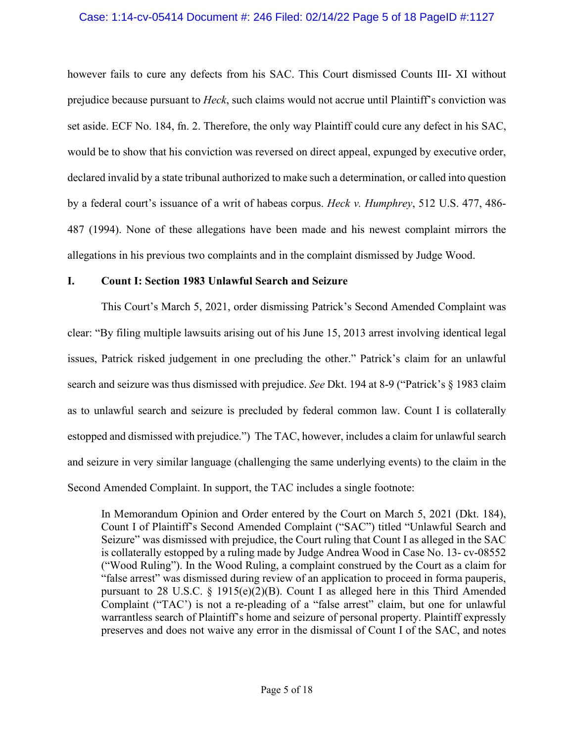### Case: 1:14-cv-05414 Document #: 246 Filed: 02/14/22 Page 5 of 18 PageID #:1127

however fails to cure any defects from his SAC. This Court dismissed Counts III- XI without prejudice because pursuant to *Heck*, such claims would not accrue until Plaintiff's conviction was set aside. ECF No. 184, fn. 2. Therefore, the only way Plaintiff could cure any defect in his SAC, would be to show that his conviction was reversed on direct appeal, expunged by executive order, declared invalid by a state tribunal authorized to make such a determination, or called into question by a federal court's issuance of a writ of habeas corpus. *Heck v. Humphrey*, 512 U.S. 477, 486- 487 (1994). None of these allegations have been made and his newest complaint mirrors the allegations in his previous two complaints and in the complaint dismissed by Judge Wood.

### **I. Count I: Section 1983 Unlawful Search and Seizure**

This Court's March 5, 2021, order dismissing Patrick's Second Amended Complaint was clear: "By filing multiple lawsuits arising out of his June 15, 2013 arrest involving identical legal issues, Patrick risked judgement in one precluding the other." Patrick's claim for an unlawful search and seizure was thus dismissed with prejudice. *See* Dkt. 194 at 8-9 ("Patrick's § 1983 claim as to unlawful search and seizure is precluded by federal common law. Count I is collaterally estopped and dismissed with prejudice.") The TAC, however, includes a claim for unlawful search and seizure in very similar language (challenging the same underlying events) to the claim in the Second Amended Complaint. In support, the TAC includes a single footnote:

In Memorandum Opinion and Order entered by the Court on March 5, 2021 (Dkt. 184), Count I of Plaintiff's Second Amended Complaint ("SAC") titled "Unlawful Search and Seizure" was dismissed with prejudice, the Court ruling that Count I as alleged in the SAC is collaterally estopped by a ruling made by Judge Andrea Wood in Case No. 13- cv-08552 ("Wood Ruling"). In the Wood Ruling, a complaint construed by the Court as a claim for "false arrest" was dismissed during review of an application to proceed in forma pauperis, pursuant to 28 U.S.C. § 1915(e)(2)(B). Count I as alleged here in this Third Amended Complaint ("TAC') is not a re-pleading of a "false arrest" claim, but one for unlawful warrantless search of Plaintiff's home and seizure of personal property. Plaintiff expressly preserves and does not waive any error in the dismissal of Count I of the SAC, and notes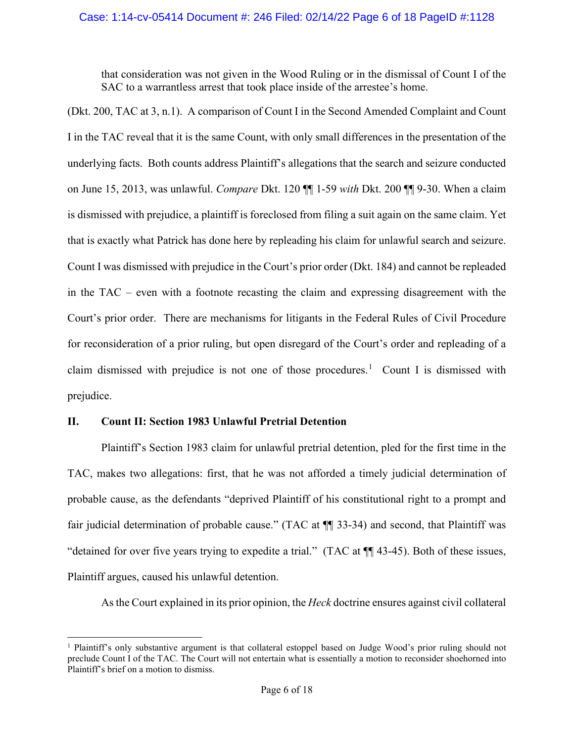that consideration was not given in the Wood Ruling or in the dismissal of Count I of the SAC to a warrantless arrest that took place inside of the arrestee's home.

(Dkt. 200, TAC at 3, n.1). A comparison of Count I in the Second Amended Complaint and Count I in the TAC reveal that it is the same Count, with only small differences in the presentation of the underlying facts. Both counts address Plaintiff's allegations that the search and seizure conducted on June 15, 2013, was unlawful. *Compare* Dkt. 120 ¶¶ 1-59 *with* Dkt. 200 ¶¶ 9-30. When a claim is dismissed with prejudice, a plaintiff is foreclosed from filing a suit again on the same claim. Yet that is exactly what Patrick has done here by repleading his claim for unlawful search and seizure. Count I was dismissed with prejudice in the Court's prior order (Dkt. 184) and cannot be repleaded in the TAC – even with a footnote recasting the claim and expressing disagreement with the Court's prior order. There are mechanisms for litigants in the Federal Rules of Civil Procedure for reconsideration of a prior ruling, but open disregard of the Court's order and repleading of a claim dismissed with prejudice is not one of those procedures.<sup>[1](#page-5-0)</sup> Count I is dismissed with prejudice.

# **II. Count II: Section 1983 Unlawful Pretrial Detention**

Plaintiff's Section 1983 claim for unlawful pretrial detention, pled for the first time in the TAC, makes two allegations: first, that he was not afforded a timely judicial determination of probable cause, as the defendants "deprived Plaintiff of his constitutional right to a prompt and fair judicial determination of probable cause." (TAC at ¶¶ 33-34) and second, that Plaintiff was "detained for over five years trying to expedite a trial." (TAC at ¶¶ 43-45). Both of these issues, Plaintiff argues, caused his unlawful detention.

As the Court explained in its prior opinion, the *Heck* doctrine ensures against civil collateral

<span id="page-5-0"></span><sup>1</sup> Plaintiff's only substantive argument is that collateral estoppel based on Judge Wood's prior ruling should not preclude Count I of the TAC. The Court will not entertain what is essentially a motion to reconsider shoehorned into Plaintiff's brief on a motion to dismiss.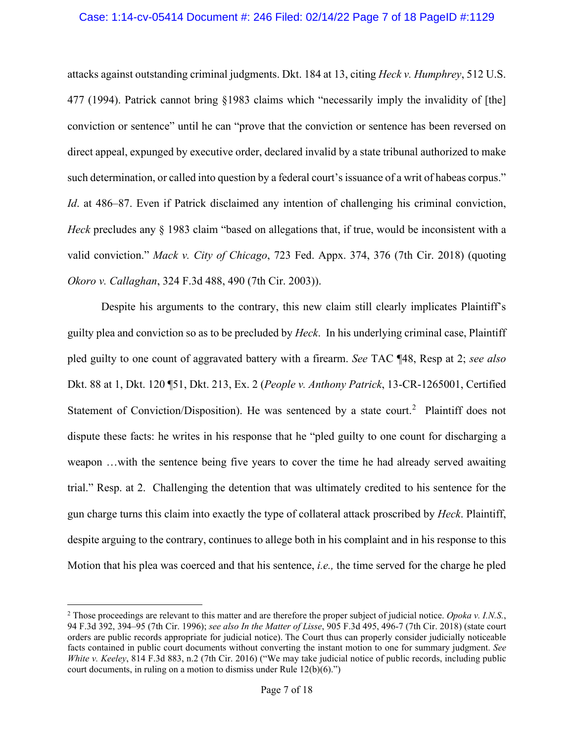#### Case: 1:14-cv-05414 Document #: 246 Filed: 02/14/22 Page 7 of 18 PageID #:1129

attacks against outstanding criminal judgments. Dkt. 184 at 13, citing *Heck v. Humphrey*, 512 U.S. 477 (1994). Patrick cannot bring §1983 claims which "necessarily imply the invalidity of [the] conviction or sentence" until he can "prove that the conviction or sentence has been reversed on direct appeal, expunged by executive order, declared invalid by a state tribunal authorized to make such determination, or called into question by a federal court's issuance of a writ of habeas corpus." *Id.* at 486–87. Even if Patrick disclaimed any intention of challenging his criminal conviction, *Heck* precludes any § 1983 claim "based on allegations that, if true, would be inconsistent with a valid conviction." *Mack v. City of Chicago*, 723 Fed. Appx. 374, 376 (7th Cir. 2018) (quoting *Okoro v. Callaghan*, 324 F.3d 488, 490 (7th Cir. 2003)).

Despite his arguments to the contrary, this new claim still clearly implicates Plaintiff's guilty plea and conviction so as to be precluded by *Heck*. In his underlying criminal case, Plaintiff pled guilty to one count of aggravated battery with a firearm. *See* TAC ¶48, Resp at 2; *see also*  Dkt. 88 at 1, Dkt. 120 ¶51, Dkt. 213, Ex. 2 (*People v. Anthony Patrick*, 13-CR-1265001, Certified Statement of Conviction/Disposition). He was sentenced by a state court.<sup>[2](#page-6-0)</sup> Plaintiff does not dispute these facts: he writes in his response that he "pled guilty to one count for discharging a weapon …with the sentence being five years to cover the time he had already served awaiting trial." Resp. at 2. Challenging the detention that was ultimately credited to his sentence for the gun charge turns this claim into exactly the type of collateral attack proscribed by *Heck*. Plaintiff, despite arguing to the contrary, continues to allege both in his complaint and in his response to this Motion that his plea was coerced and that his sentence, *i.e.,* the time served for the charge he pled

<span id="page-6-0"></span><sup>2</sup> Those proceedings are relevant to this matter and are therefore the proper subject of judicial notice. *[Opoka](https://1.next.westlaw.com/Link/Document/FullText?findType=Y&serNum=1996201052&pubNum=0000506&originatingDoc=I69bbed201e7511e79eadef7f77b52ba6&refType=RP&fi=co_pp_sp_506_394&originationContext=document&transitionType=DocumentItem&ppcid=be52722bbf13470385177fedd15d984c&contextData=(sc.DocLink)#co_pp_sp_506_394) v. I.N.S.*, 94 F.3d 392, [394–95](https://1.next.westlaw.com/Link/Document/FullText?findType=Y&serNum=1996201052&pubNum=0000506&originatingDoc=I69bbed201e7511e79eadef7f77b52ba6&refType=RP&fi=co_pp_sp_506_394&originationContext=document&transitionType=DocumentItem&ppcid=be52722bbf13470385177fedd15d984c&contextData=(sc.DocLink)#co_pp_sp_506_394) (7th Cir. 1996); *see also In the Matter of Lisse*, 905 F.3d 495, 496-7 (7th Cir. 2018) (state court orders are public records appropriate for judicial notice). The Court thus can properly consider judicially noticeable facts contained in public court documents without converting the instant motion to one for summary judgment. *See White v. Keeley*, 814 F.3d 883, n.2 (7th Cir. 2016) ("We may take judicial notice of public records, including public court documents, in ruling on a motion to dismiss under Rule 12(b)(6).")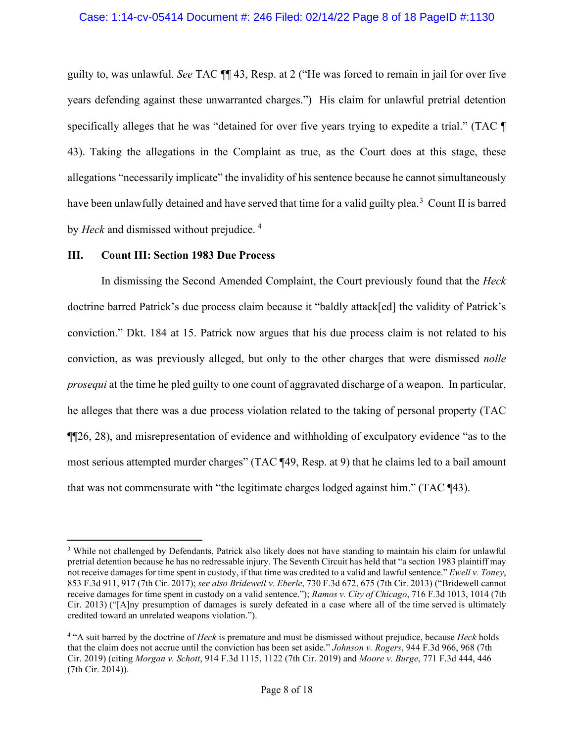guilty to, was unlawful. *See* TAC ¶¶ 43, Resp. at 2 ("He was forced to remain in jail for over five years defending against these unwarranted charges.") His claim for unlawful pretrial detention specifically alleges that he was "detained for over five years trying to expedite a trial." (TAC ¶ 43). Taking the allegations in the Complaint as true, as the Court does at this stage, these allegations "necessarily implicate" the invalidity of his sentence because he cannot simultaneously have been unlawfully detained and have served that time for a valid guilty plea.<sup>[3](#page-7-0)</sup> Count II is barred by *Heck* and dismissed without prejudice. [4](#page-7-1)

### **III. Count III: Section 1983 Due Process**

In dismissing the Second Amended Complaint, the Court previously found that the *Heck* doctrine barred Patrick's due process claim because it "baldly attack[ed] the validity of Patrick's conviction." Dkt. 184 at 15. Patrick now argues that his due process claim is not related to his conviction, as was previously alleged, but only to the other charges that were dismissed *nolle prosequi* at the time he pled guilty to one count of aggravated discharge of a weapon. In particular, he alleges that there was a due process violation related to the taking of personal property (TAC ¶¶26, 28), and misrepresentation of evidence and withholding of exculpatory evidence "as to the most serious attempted murder charges" (TAC ¶49, Resp. at 9) that he claims led to a bail amount that was not commensurate with "the legitimate charges lodged against him." (TAC ¶43).

<span id="page-7-0"></span><sup>&</sup>lt;sup>3</sup> While not challenged by Defendants, Patrick also likely does not have standing to maintain his claim for unlawful pretrial detention because he has no redressable injury. The Seventh Circuit has held that "a section 1983 plaintiff may not receive damages for time spent in custody, if that time was credited to a valid and lawful sentence." *Ewell v. Toney*, 853 F.3d 911, 917 (7th Cir. 2017); *see also [Bridewell](https://1.next.westlaw.com/Link/Document/FullText?findType=Y&serNum=2031563245&pubNum=0000506&originatingDoc=I30f9bb508bac11eab8e5aa4e1d27c216&refType=RP&fi=co_pp_sp_506_675&originationContext=document&transitionType=DocumentItem&ppcid=99776c352604406ca04d656b964ceca1&contextData=(sc.Search)#co_pp_sp_506_675) v. Eberle*, 730 F.3d 672, 675 (7th Cir. 2013) ("Bridewell cannot receive damages for time spent in custody on a valid sentence."); *Ramos v. City of [Chicago](https://1.next.westlaw.com/Link/Document/FullText?findType=Y&serNum=2030597016&pubNum=0000506&originatingDoc=I30f9bb508bac11eab8e5aa4e1d27c216&refType=RP&fi=co_pp_sp_506_1014&originationContext=document&transitionType=DocumentItem&ppcid=99776c352604406ca04d656b964ceca1&contextData=(sc.Search)#co_pp_sp_506_1014)*, 716 F.3d 1013, 1014 (7th Cir. [2013\)](https://1.next.westlaw.com/Link/Document/FullText?findType=Y&serNum=2030597016&pubNum=0000506&originatingDoc=I30f9bb508bac11eab8e5aa4e1d27c216&refType=RP&fi=co_pp_sp_506_1014&originationContext=document&transitionType=DocumentItem&ppcid=99776c352604406ca04d656b964ceca1&contextData=(sc.Search)#co_pp_sp_506_1014) ("[A]ny presumption of damages is surely defeated in a case where all of the time served is ultimately credited toward an unrelated weapons violation.").

<span id="page-7-1"></span><sup>4</sup> "A suit barred by the doctrine of *Heck* is premature and must be dismissed without prejudice, because *Heck* holds that the claim does not accrue until the conviction has been set aside." *Johnson v. Rogers*, 944 F.3d 966, 968 (7th Cir. 2019) (citing *Morgan v. Schott*, 914 F.3d 1115, 1122 (7th Cir. 2019) and *Moore v. Burge*, 771 F.3d 444, 446 (7th Cir. 2014)).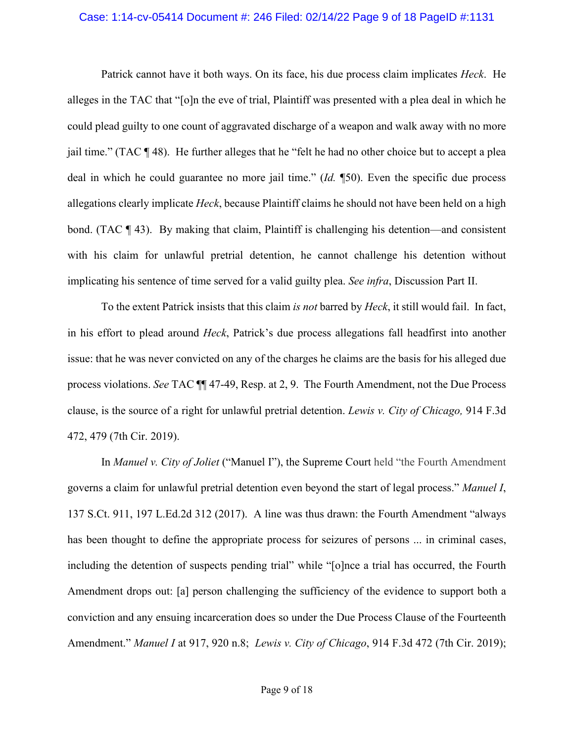#### Case: 1:14-cv-05414 Document #: 246 Filed: 02/14/22 Page 9 of 18 PageID #:1131

Patrick cannot have it both ways. On its face, his due process claim implicates *Heck*. He alleges in the TAC that "[o]n the eve of trial, Plaintiff was presented with a plea deal in which he could plead guilty to one count of aggravated discharge of a weapon and walk away with no more jail time." (TAC ¶ 48). He further alleges that he "felt he had no other choice but to accept a plea deal in which he could guarantee no more jail time." (*Id.* ¶50). Even the specific due process allegations clearly implicate *Heck*, because Plaintiff claims he should not have been held on a high bond. (TAC ¶ 43). By making that claim, Plaintiff is challenging his detention—and consistent with his claim for unlawful pretrial detention, he cannot challenge his detention without implicating his sentence of time served for a valid guilty plea. *See infra*, Discussion Part II.

To the extent Patrick insists that this claim *is not* barred by *Heck*, it still would fail. In fact, in his effort to plead around *Heck*, Patrick's due process allegations fall headfirst into another issue: that he was never convicted on any of the charges he claims are the basis for his alleged due process violations. *See* TAC ¶¶ 47-49, Resp. at 2, 9. The Fourth Amendment, not the Due Process clause, is the source of a right for unlawful pretrial detention. *Lewis v. City of Chicago,* 914 F.3d 472, 479 (7th Cir. 2019).

In *Manuel v. City of Joliet* ("Manuel I"), the Supreme Court held "the Fourth Amendment governs a claim for unlawful pretrial detention even beyond the start of legal process." *Manuel I*, 137 S.Ct. 911, 197 L.Ed.2d 312 (2017). A line was thus drawn: the Fourth Amendment "always has been thought to define the appropriate process for seizures of persons ... in criminal cases, including the detention of suspects pending trial" while "[o]nce a trial has occurred, the Fourth Amendment drops out: [a] person challenging the sufficiency of the evidence to support both a conviction and any ensuing incarceration does so under the Due Process Clause of the Fourteenth Amendment." *Manuel I* at 917, 920 n.8; *Lewis v. City of [Chicago](https://1.next.westlaw.com/Link/Document/FullText?findType=Y&serNum=2047380389&pubNum=0000506&originatingDoc=Id3b468d0ce5511ebb381adeb81954cc5&refType=RP&originationContext=document&transitionType=DocumentItem&ppcid=5837b244500a40c098b98ac2a790648e&contextData=(sc.Search))*, 914 F.3d 472 (7th Cir. 2019);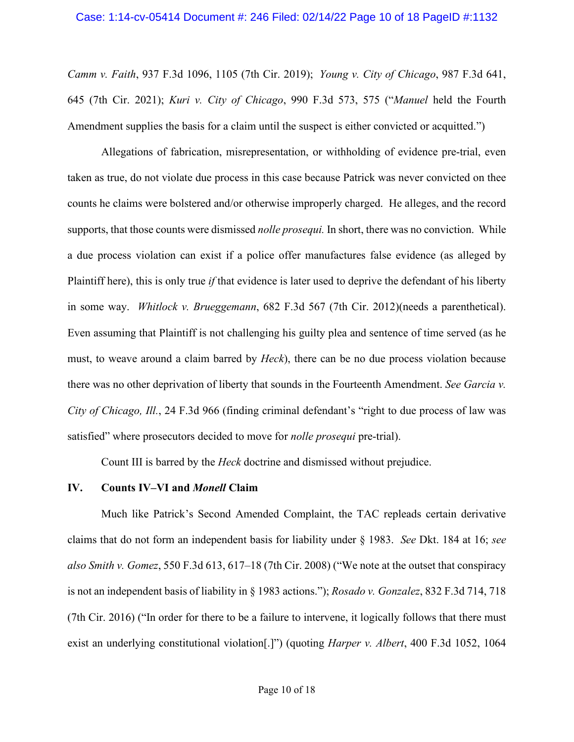#### Case: 1:14-cv-05414 Document #: 246 Filed: 02/14/22 Page 10 of 18 PageID #:1132

*[Camm](https://1.next.westlaw.com/Link/Document/FullText?findType=Y&serNum=2049148496&pubNum=0000506&originatingDoc=Id3b468d0ce5511ebb381adeb81954cc5&refType=RP&fi=co_pp_sp_506_1105&originationContext=document&transitionType=DocumentItem&ppcid=5837b244500a40c098b98ac2a790648e&contextData=(sc.Search)#co_pp_sp_506_1105) v. Faith*, 937 F.3d 1096, 1105 (7th Cir. 2019); *Young v. City of [Chicago](https://1.next.westlaw.com/Link/Document/FullText?findType=Y&serNum=2052920274&pubNum=0000506&originatingDoc=Id3b468d0ce5511ebb381adeb81954cc5&refType=RP&fi=co_pp_sp_506_645&originationContext=document&transitionType=DocumentItem&ppcid=5837b244500a40c098b98ac2a790648e&contextData=(sc.Search)#co_pp_sp_506_645)*, 987 F.3d 641, 645 (7th Cir. [2021\);](https://1.next.westlaw.com/Link/Document/FullText?findType=Y&serNum=2052920274&pubNum=0000506&originatingDoc=Id3b468d0ce5511ebb381adeb81954cc5&refType=RP&fi=co_pp_sp_506_645&originationContext=document&transitionType=DocumentItem&ppcid=5837b244500a40c098b98ac2a790648e&contextData=(sc.Search)#co_pp_sp_506_645) *Kuri v. City of Chicago*, 990 F.3d 573, 575 ("*Manuel* held the Fourth Amendment supplies the basis for a claim until the suspect is either convicted or acquitted.")

Allegations of fabrication, misrepresentation, or withholding of evidence pre-trial, even taken as true, do not violate due process in this case because Patrick was never convicted on thee counts he claims were bolstered and/or otherwise improperly charged. He alleges, and the record supports, that those counts were dismissed *nolle prosequi.* In short, there was no conviction. While a due process violation can exist if a police offer manufactures false evidence (as alleged by Plaintiff here), this is only true *if* that evidence is later used to deprive the defendant of his liberty in some way. *Whitlock v. Brueggemann*, 682 F.3d 567 (7th Cir. 2012)(needs a parenthetical). Even assuming that Plaintiff is not challenging his guilty plea and sentence of time served (as he must, to weave around a claim barred by *Heck*), there can be no due process violation because there was no other deprivation of liberty that sounds in the Fourteenth Amendment. *See Garcia v. City of Chicago, Ill.*, 24 F.3d 966 (finding criminal defendant's "right to due process of law was satisfied" where prosecutors decided to move for *nolle prosequi* pre-trial).

Count III is barred by the *Heck* doctrine and dismissed without prejudice.

#### **IV. Counts IV–VI and** *Monell* **Claim**

Much like Patrick's Second Amended Complaint, the TAC repleads certain derivative claims that do not form an independent basis for liability under § 1983. *See* Dkt. 184 at 16; *see also Smith v. Gomez*, 550 F.3d 613, 617–18 (7th Cir. 2008) ("We note at the outset that conspiracy is not an independent basis of liability in § 1983 actions."); *Rosado v. Gonzalez*, 832 F.3d 714, 718 (7th Cir. 2016) ("In order for there to be a failure to intervene, it logically follows that there must exist an underlying constitutional violation[.]") (quoting *Harper v. Albert*, 400 F.3d 1052, 1064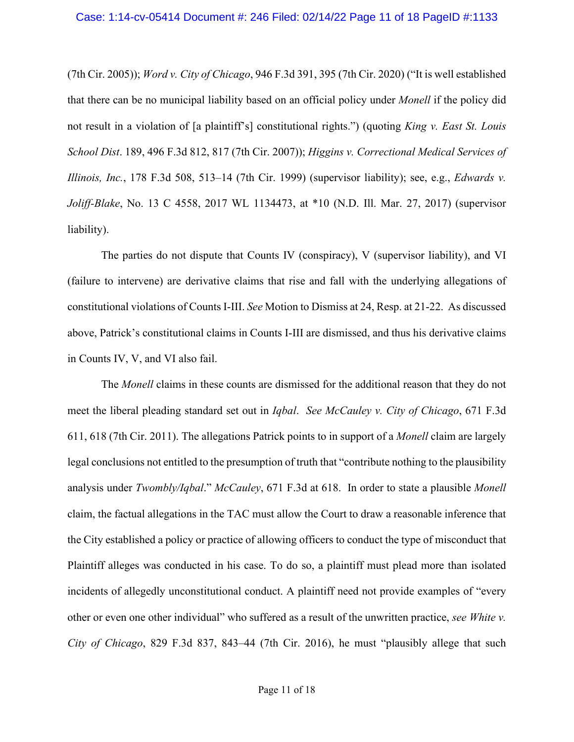(7th Cir. 2005)); *Word v. City of Chicago*, 946 F.3d 391, 395 (7th Cir. 2020) ("It is well established that there can be no municipal liability based on an official policy under *Monell* if the policy did not result in a violation of [a plaintiff's] constitutional rights.") (quoting *King v. East St. Louis School Dist*. 189, 496 F.3d 812, 817 (7th Cir. 2007)); *Higgins v. Correctional Medical Services of Illinois, Inc.*, 178 F.3d 508, 513–14 (7th Cir. 1999) (supervisor liability); see, e.g., *Edwards v. Joliff-Blake*, No. 13 C 4558, 2017 WL 1134473, at \*10 (N.D. Ill. Mar. 27, 2017) (supervisor liability).

The parties do not dispute that Counts IV (conspiracy), V (supervisor liability), and VI (failure to intervene) are derivative claims that rise and fall with the underlying allegations of constitutional violations of Counts I-III. *See* Motion to Dismiss at 24, Resp. at 21-22. As discussed above, Patrick's constitutional claims in Counts I-III are dismissed, and thus his derivative claims in Counts IV, V, and VI also fail.

The *Monell* claims in these counts are dismissed for the additional reason that they do not meet the liberal pleading standard set out in *Iqbal*. *See McCauley v. City of Chicago*, 671 F.3d 611, 618 (7th Cir. 2011). The allegations Patrick points to in support of a *Monell* claim are largely legal conclusions not entitled to the presumption of truth that "contribute nothing to the plausibility analysis under *Twombly/Iqbal*." *McCauley*, 671 F.3d at 618. In order to state a plausible *Monell* claim, the factual allegations in the TAC must allow the Court to draw a reasonable inference that the City established a policy or practice of allowing officers to conduct the type of misconduct that Plaintiff alleges was conducted in his case. To do so, a plaintiff must plead more than isolated incidents of allegedly unconstitutional conduct. A plaintiff need not provide examples of "every other or even one other individual" who suffered as a result of the unwritten practice, *see White v. City of Chicago*, 829 F.3d 837, 843–44 (7th Cir. 2016), he must "plausibly allege that such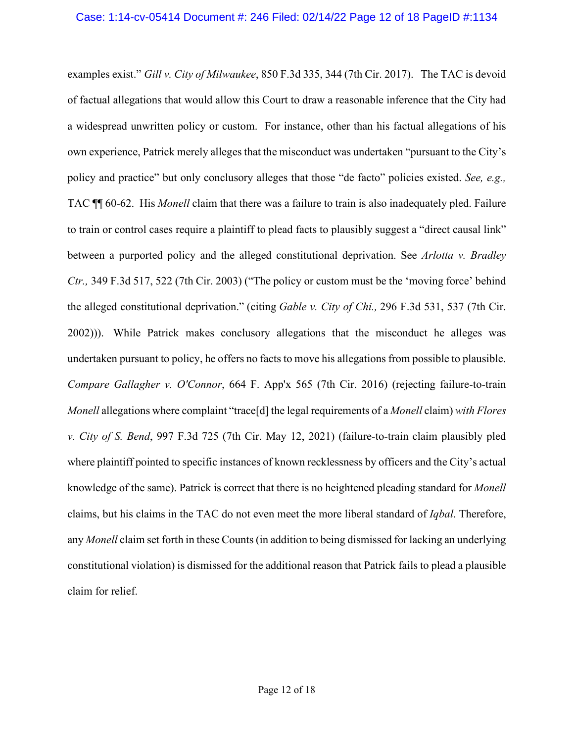examples exist." *Gill v. City of Milwaukee*, 850 F.3d 335, 344 (7th Cir. 2017). The TAC is devoid of factual allegations that would allow this Court to draw a reasonable inference that the City had a widespread unwritten policy or custom. For instance, other than his factual allegations of his own experience, Patrick merely alleges that the misconduct was undertaken "pursuant to the City's policy and practice" but only conclusory alleges that those "de facto" policies existed. *See, e.g.,* TAC ¶¶ 60-62. His *Monell* claim that there was a failure to train is also inadequately pled. Failure to train or control cases require a plaintiff to plead facts to plausibly suggest a "direct causal link" between a purported policy and the alleged constitutional deprivation. See *Arlotta v. Bradley Ctr.,* 349 F.3d 517, 522 (7th Cir. 2003) ("The policy or custom must be the 'moving force' behind the alleged constitutional deprivation." (citing *Gable v. City of Chi.,* 296 F.3d 531, 537 (7th Cir. 2002))). While Patrick makes conclusory allegations that the misconduct he alleges was undertaken pursuant to policy, he offers no facts to move his allegations from possible to plausible. *Compare Gallagher v. O'Connor*, 664 F. App'x 565 (7th Cir. 2016) (rejecting failure-to-train *Monell* allegations where complaint "trace[d] the legal requirements of a *Monell* claim) *with Flores v. City of S. Bend*, 997 F.3d 725 (7th Cir. May 12, 2021) (failure-to-train claim plausibly pled where plaintiff pointed to specific instances of known recklessness by officers and the City's actual knowledge of the same). Patrick is correct that there is no heightened pleading standard for *Monell* claims, but his claims in the TAC do not even meet the more liberal standard of *Iqbal*. Therefore, any *Monell* claim set forth in these Counts (in addition to being dismissed for lacking an underlying constitutional violation) is dismissed for the additional reason that Patrick fails to plead a plausible claim for relief.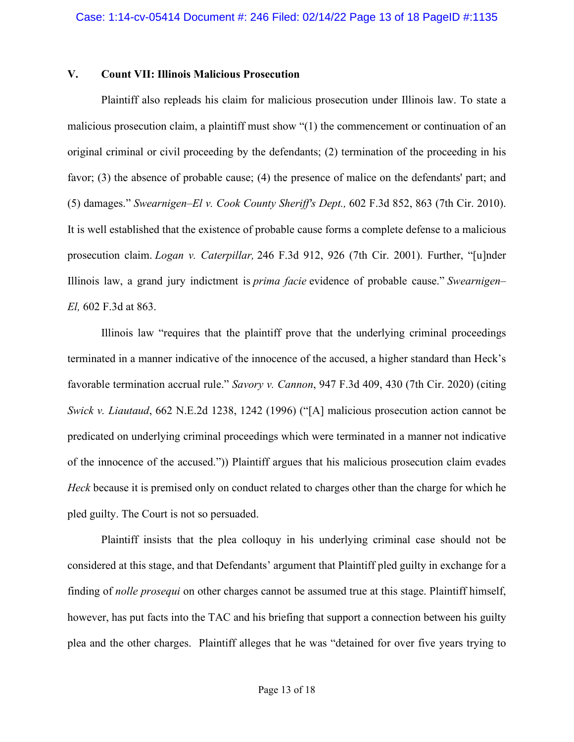## **V. Count VII: Illinois Malicious Prosecution**

Plaintiff also repleads his claim for malicious prosecution under Illinois law. To state a malicious prosecution claim, a plaintiff must show "(1) the commencement or continuation of an original criminal or civil proceeding by the defendants; (2) termination of the proceeding in his favor; (3) the absence of probable cause; (4) the presence of malice on the defendants' part; and (5) damages." *Swearnigen–El v. Cook County Sheriff's Dept.,* 602 F.3d 852, 863 (7th Cir. 2010). It is well established that the existence of probable cause forms a complete defense to a malicious prosecution claim. *Logan v. [Caterpillar,](https://1.next.westlaw.com/Link/Document/FullText?findType=Y&serNum=2001304302&pubNum=0000506&originatingDoc=I4f966129e50511e490d4edf60ce7d742&refType=RP&fi=co_pp_sp_506_926&originationContext=document&transitionType=DocumentItem&ppcid=794cacd24d324bcbb65eb5443dded2e2&contextData=(sc.Default)#co_pp_sp_506_926)* 246 F.3d 912, 926 (7th Cir. 2001). Further, "[u]nder Illinois law, a grand jury indictment is *prima facie* evidence of probable cause." *[Swearnigen–](https://1.next.westlaw.com/Link/Document/FullText?findType=Y&serNum=2021810275&pubNum=0000506&originatingDoc=I4f966129e50511e490d4edf60ce7d742&refType=RP&fi=co_pp_sp_506_863&originationContext=document&transitionType=DocumentItem&ppcid=794cacd24d324bcbb65eb5443dded2e2&contextData=(sc.Default)#co_pp_sp_506_863) El,* 602 [F.3d](https://1.next.westlaw.com/Link/Document/FullText?findType=Y&serNum=2021810275&pubNum=0000506&originatingDoc=I4f966129e50511e490d4edf60ce7d742&refType=RP&fi=co_pp_sp_506_863&originationContext=document&transitionType=DocumentItem&ppcid=794cacd24d324bcbb65eb5443dded2e2&contextData=(sc.Default)#co_pp_sp_506_863) at 863.

Illinois law "requires that the plaintiff prove that the underlying criminal proceedings terminated in a manner indicative of the innocence of the accused, a higher standard than Heck's favorable termination accrual rule." *Savory v. Cannon*, 947 F.3d 409, 430 (7th Cir. 2020) (citing *Swick v. Liautaud*, 662 N.E.2d 1238, 1242 (1996) ("[A] malicious prosecution action cannot be predicated on underlying criminal proceedings which were terminated in a manner not indicative of the innocence of the accused.")) Plaintiff argues that his malicious prosecution claim evades *Heck* because it is premised only on conduct related to charges other than the charge for which he pled guilty. The Court is not so persuaded.

Plaintiff insists that the plea colloquy in his underlying criminal case should not be considered at this stage, and that Defendants' argument that Plaintiff pled guilty in exchange for a finding of *nolle prosequi* on other charges cannot be assumed true at this stage. Plaintiff himself, however, has put facts into the TAC and his briefing that support a connection between his guilty plea and the other charges. Plaintiff alleges that he was "detained for over five years trying to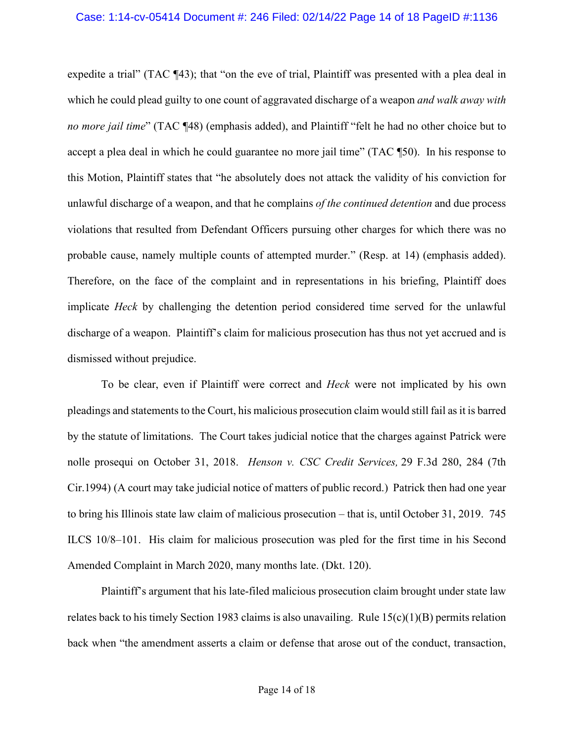#### Case: 1:14-cv-05414 Document #: 246 Filed: 02/14/22 Page 14 of 18 PageID #:1136

expedite a trial" (TAC ¶43); that "on the eve of trial, Plaintiff was presented with a plea deal in which he could plead guilty to one count of aggravated discharge of a weapon *and walk away with no more jail time*" (TAC ¶48) (emphasis added), and Plaintiff "felt he had no other choice but to accept a plea deal in which he could guarantee no more jail time" (TAC ¶50). In his response to this Motion, Plaintiff states that "he absolutely does not attack the validity of his conviction for unlawful discharge of a weapon, and that he complains *of the continued detention* and due process violations that resulted from Defendant Officers pursuing other charges for which there was no probable cause, namely multiple counts of attempted murder." (Resp. at 14) (emphasis added). Therefore, on the face of the complaint and in representations in his briefing, Plaintiff does implicate *Heck* by challenging the detention period considered time served for the unlawful discharge of a weapon. Plaintiff's claim for malicious prosecution has thus not yet accrued and is dismissed without prejudice.

To be clear, even if Plaintiff were correct and *Heck* were not implicated by his own pleadings and statements to the Court, his malicious prosecution claim would still fail as it is barred by the statute of limitations. The Court takes judicial notice that the charges against Patrick were nolle prosequi on October 31, 2018. *[Henson v. CSC Credit Services,](https://1.next.westlaw.com/Link/Document/FullText?findType=Y&serNum=1994148302&pubNum=0000506&originatingDoc=Iaa5fcaf553de11d997e0acd5cbb90d3f&refType=RP&fi=co_pp_sp_506_284&originationContext=document&transitionType=DocumentItem&ppcid=dbe063513a2f4765a46048363bdad0fd&contextData=(sc.Search)#co_pp_sp_506_284)* 29 F.3d 280, 284 (7th [Cir.1994\)](https://1.next.westlaw.com/Link/Document/FullText?findType=Y&serNum=1994148302&pubNum=0000506&originatingDoc=Iaa5fcaf553de11d997e0acd5cbb90d3f&refType=RP&fi=co_pp_sp_506_284&originationContext=document&transitionType=DocumentItem&ppcid=dbe063513a2f4765a46048363bdad0fd&contextData=(sc.Search)#co_pp_sp_506_284) (A court may take judicial notice of matters of public record.) Patrick then had one year to bring his Illinois state law claim of malicious prosecution – that is, until October 31, 2019. [745](https://1.next.westlaw.com/Link/Document/FullText?findType=L&pubNum=1000008&cite=ILSTC745S10%2f8-101&originatingDoc=I550d7be353ea11d9a99c85a9e6023ffa&refType=LQ&originationContext=document&transitionType=DocumentItem&ppcid=5f48f7d0e2454d25b408a9f812a4d896&contextData=(sc.Folder*cid.887212d408dc445b93289740c3d92b17*oc.Search)) ILCS [10/8–101.](https://1.next.westlaw.com/Link/Document/FullText?findType=L&pubNum=1000008&cite=ILSTC745S10%2f8-101&originatingDoc=I550d7be353ea11d9a99c85a9e6023ffa&refType=LQ&originationContext=document&transitionType=DocumentItem&ppcid=5f48f7d0e2454d25b408a9f812a4d896&contextData=(sc.Folder*cid.887212d408dc445b93289740c3d92b17*oc.Search)) His claim for malicious prosecution was pled for the first time in his Second Amended Complaint in March 2020, many months late. (Dkt. 120).

Plaintiff's argument that his late-filed malicious prosecution claim brought under state law relates back to his timely Section 1983 claims is also unavailing. Rule  $15(c)(1)(B)$  permits relation back when "the amendment asserts a claim or defense that arose out of the conduct, transaction,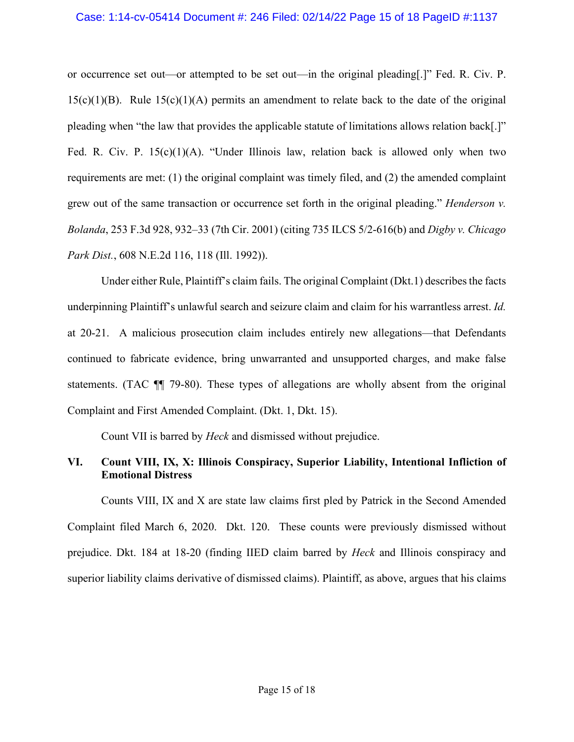#### Case: 1:14-cv-05414 Document #: 246 Filed: 02/14/22 Page 15 of 18 PageID #:1137

or occurrence set out—or attempted to be set out—in the original pleading[.]" Fed. R. Civ. P.  $15(c)(1)(B)$ . Rule  $15(c)(1)(A)$  permits an amendment to relate back to the date of the original pleading when "the law that provides the applicable statute of limitations allows relation back[.]" Fed. R. Civ. P.  $15(c)(1)(A)$ . "Under Illinois law, relation back is allowed only when two requirements are met: (1) the original complaint was timely filed, and (2) the amended complaint grew out of the same transaction or occurrence set forth in the original pleading." *Henderson v. Bolanda*, 253 F.3d 928, 932–33 (7th Cir. 2001) (citing 735 ILCS 5/2-616(b) and *Digby v. Chicago Park Dist.*, 608 N.E.2d 116, 118 (Ill. 1992)).

Under either Rule, Plaintiff's claim fails. The original Complaint (Dkt.1) describes the facts underpinning Plaintiff's unlawful search and seizure claim and claim for his warrantless arrest. *Id.* at 20-21. A malicious prosecution claim includes entirely new allegations—that Defendants continued to fabricate evidence, bring unwarranted and unsupported charges, and make false statements. (TAC ¶¶ 79-80). These types of allegations are wholly absent from the original Complaint and First Amended Complaint. (Dkt. 1, Dkt. 15).

Count VII is barred by *Heck* and dismissed without prejudice.

# **VI. Count VIII, IX, X: Illinois Conspiracy, Superior Liability, Intentional Infliction of Emotional Distress**

Counts VIII, IX and X are state law claims first pled by Patrick in the Second Amended Complaint filed March 6, 2020. Dkt. 120. These counts were previously dismissed without prejudice. Dkt. 184 at 18-20 (finding IIED claim barred by *Heck* and Illinois conspiracy and superior liability claims derivative of dismissed claims). Plaintiff, as above, argues that his claims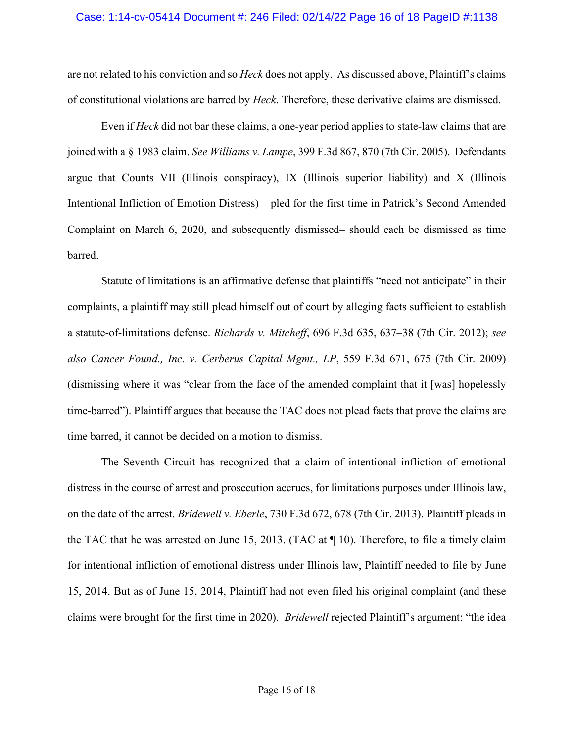#### Case: 1:14-cv-05414 Document #: 246 Filed: 02/14/22 Page 16 of 18 PageID #:1138

are not related to his conviction and so *Heck* does not apply. As discussed above, Plaintiff's claims of constitutional violations are barred by *Heck*. Therefore, these derivative claims are dismissed.

Even if *Heck* did not bar these claims, a one-year period applies to state-law claims that are joined with a § [1983](https://1.next.westlaw.com/Link/Document/FullText?findType=L&pubNum=1000546&cite=42USCAS1983&originatingDoc=Ibb93e1958b9111d99dcc8cc3e68b51e9&refType=LQ&originationContext=document&transitionType=DocumentItem&ppcid=368f5c3f69d845ceb390e80d284af432&contextData=(sc.Search)) claim. *See Williams v. Lampe*, 399 F.3d 867, 870 (7th Cir. 2005). Defendants argue that Counts VII (Illinois conspiracy), IX (Illinois superior liability) and X (Illinois Intentional Infliction of Emotion Distress) – pled for the first time in Patrick's Second Amended Complaint on March 6, 2020, and subsequently dismissed– should each be dismissed as time barred.

Statute of limitations is an affirmative defense that plaintiffs "need not anticipate" in their complaints, a plaintiff may still plead himself out of court by alleging facts sufficient to establish a statute-of-limitations defense. *Richards v. Mitcheff*, 696 F.3d 635, 637–38 (7th Cir. 2012); *see also Cancer Found., Inc. v. Cerberus Capital Mgmt., LP*, 559 F.3d 671, 675 (7th Cir. 2009) (dismissing where it was "clear from the face of the amended complaint that it [was] hopelessly time-barred"). Plaintiff argues that because the TAC does not plead facts that prove the claims are time barred, it cannot be decided on a motion to dismiss.

The Seventh Circuit has recognized that a claim of intentional infliction of emotional distress in the course of arrest and prosecution accrues, for limitations purposes under Illinois law, on the date of the arrest. *Bridewell v. Eberle*, 730 F.3d 672, 678 (7th Cir. 2013). Plaintiff pleads in the TAC that he was arrested on June 15, 2013. (TAC at  $\P$  10). Therefore, to file a timely claim for intentional infliction of emotional distress under Illinois law, Plaintiff needed to file by June 15, 2014. But as of June 15, 2014, Plaintiff had not even filed his original complaint (and these claims were brought for the first time in 2020). *Bridewell* rejected Plaintiff's argument: "the idea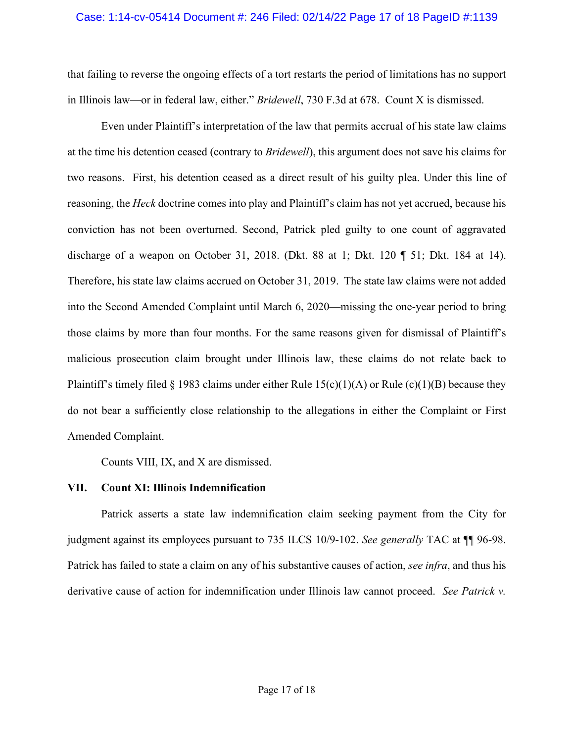#### Case: 1:14-cv-05414 Document #: 246 Filed: 02/14/22 Page 17 of 18 PageID #:1139

that failing to reverse the ongoing effects of a tort restarts the period of limitations has no support in Illinois law—or in federal law, either." *Bridewell*, 730 F.3d at 678. Count X is dismissed.

Even under Plaintiff's interpretation of the law that permits accrual of his state law claims at the time his detention ceased (contrary to *Bridewell*), this argument does not save his claims for two reasons. First, his detention ceased as a direct result of his guilty plea. Under this line of reasoning, the *Heck* doctrine comes into play and Plaintiff's claim has not yet accrued, because his conviction has not been overturned. Second, Patrick pled guilty to one count of aggravated discharge of a weapon on October 31, 2018. (Dkt. 88 at 1; Dkt. 120 ¶ 51; Dkt. 184 at 14). Therefore, his state law claims accrued on October 31, 2019. The state law claims were not added into the Second Amended Complaint until March 6, 2020—missing the one-year period to bring those claims by more than four months. For the same reasons given for dismissal of Plaintiff's malicious prosecution claim brought under Illinois law, these claims do not relate back to Plaintiff's timely filed § 1983 claims under either Rule  $15(c)(1)(A)$  or Rule  $(c)(1)(B)$  because they do not bear a sufficiently close relationship to the allegations in either the Complaint or First Amended Complaint.

Counts VIII, IX, and X are dismissed.

#### **VII. Count XI: Illinois Indemnification**

Patrick asserts a state law indemnification claim seeking payment from the City for judgment against its employees pursuant to 735 ILCS 10/9-102. *See generally* TAC at ¶¶ 96-98. Patrick has failed to state a claim on any of his substantive causes of action, *see infra*, and thus his derivative cause of action for indemnification under Illinois law cannot proceed. *See Patrick v.*